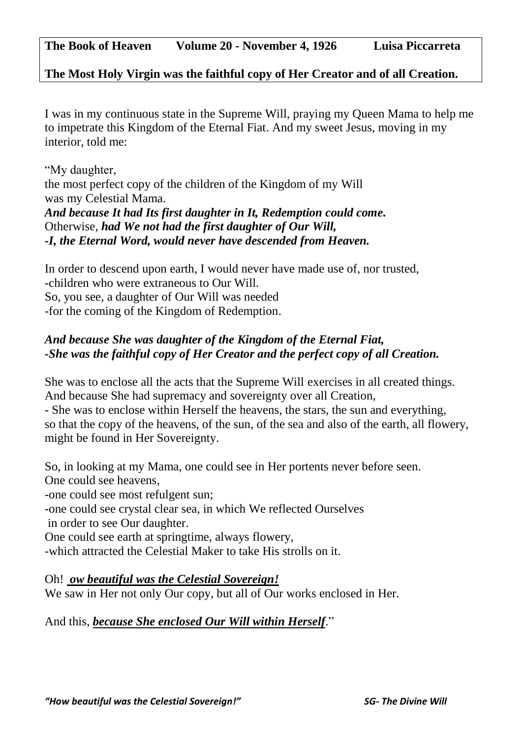**The Most Holy Virgin was the faithful copy of Her Creator and of all Creation.** 

I was in my continuous state in the Supreme Will, praying my Queen Mama to help me to impetrate this Kingdom of the Eternal Fiat. And my sweet Jesus, moving in my interior, told me:

"My daughter, the most perfect copy of the children of the Kingdom of my Will was my Celestial Mama. *And because It had Its first daughter in It, Redemption could come.* Otherwise, *had We not had the first daughter of Our Will, -I, the Eternal Word, would never have descended from Heaven.*

In order to descend upon earth, I would never have made use of, nor trusted, -children who were extraneous to Our Will. So, you see, a daughter of Our Will was needed -for the coming of the Kingdom of Redemption.

## *And because She was daughter of the Kingdom of the Eternal Fiat, -She was the faithful copy of Her Creator and the perfect copy of all Creation.*

She was to enclose all the acts that the Supreme Will exercises in all created things. And because She had supremacy and sovereignty over all Creation,

- She was to enclose within Herself the heavens, the stars, the sun and everything, so that the copy of the heavens, of the sun, of the sea and also of the earth, all flowery, might be found in Her Sovereignty.

So, in looking at my Mama, one could see in Her portents never before seen. One could see heavens,

-one could see most refulgent sun;

-one could see crystal clear sea, in which We reflected Ourselves

in order to see Our daughter.

One could see earth at springtime, always flowery,

-which attracted the Celestial Maker to take His strolls on it.

Oh! *ow beautiful was the Celestial Sovereign!*

We saw in Her not only Our copy, but all of Our works enclosed in Her.

And this, *because She enclosed Our Will within Herself*."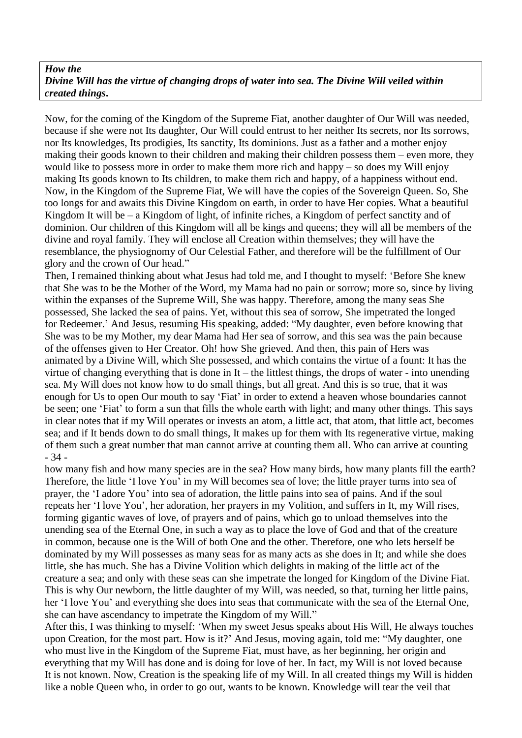## *How the Divine Will has the virtue of changing drops of water into sea. The Divine Will veiled within created things***.**

Now, for the coming of the Kingdom of the Supreme Fiat, another daughter of Our Will was needed, because if she were not Its daughter, Our Will could entrust to her neither Its secrets, nor Its sorrows, nor Its knowledges, Its prodigies, Its sanctity, Its dominions. Just as a father and a mother enjoy making their goods known to their children and making their children possess them – even more, they would like to possess more in order to make them more rich and happy – so does my Will enjoy making Its goods known to Its children, to make them rich and happy, of a happiness without end. Now, in the Kingdom of the Supreme Fiat, We will have the copies of the Sovereign Queen. So, She too longs for and awaits this Divine Kingdom on earth, in order to have Her copies. What a beautiful Kingdom It will be – a Kingdom of light, of infinite riches, a Kingdom of perfect sanctity and of dominion. Our children of this Kingdom will all be kings and queens; they will all be members of the divine and royal family. They will enclose all Creation within themselves; they will have the resemblance, the physiognomy of Our Celestial Father, and therefore will be the fulfillment of Our glory and the crown of Our head."

Then, I remained thinking about what Jesus had told me, and I thought to myself: 'Before She knew that She was to be the Mother of the Word, my Mama had no pain or sorrow; more so, since by living within the expanses of the Supreme Will, She was happy. Therefore, among the many seas She possessed, She lacked the sea of pains. Yet, without this sea of sorrow, She impetrated the longed for Redeemer.' And Jesus, resuming His speaking, added: "My daughter, even before knowing that She was to be my Mother, my dear Mama had Her sea of sorrow, and this sea was the pain because of the offenses given to Her Creator. Oh! how She grieved. And then, this pain of Hers was animated by a Divine Will, which She possessed, and which contains the virtue of a fount: It has the virtue of changing everything that is done in It – the littlest things, the drops of water - into unending sea. My Will does not know how to do small things, but all great. And this is so true, that it was enough for Us to open Our mouth to say 'Fiat' in order to extend a heaven whose boundaries cannot be seen; one 'Fiat' to form a sun that fills the whole earth with light; and many other things. This says in clear notes that if my Will operates or invests an atom, a little act, that atom, that little act, becomes sea; and if It bends down to do small things, It makes up for them with Its regenerative virtue, making of them such a great number that man cannot arrive at counting them all. Who can arrive at counting - 34 -

how many fish and how many species are in the sea? How many birds, how many plants fill the earth? Therefore, the little 'I love You' in my Will becomes sea of love; the little prayer turns into sea of prayer, the 'I adore You' into sea of adoration, the little pains into sea of pains. And if the soul repeats her 'I love You', her adoration, her prayers in my Volition, and suffers in It, my Will rises, forming gigantic waves of love, of prayers and of pains, which go to unload themselves into the unending sea of the Eternal One, in such a way as to place the love of God and that of the creature in common, because one is the Will of both One and the other. Therefore, one who lets herself be dominated by my Will possesses as many seas for as many acts as she does in It; and while she does little, she has much. She has a Divine Volition which delights in making of the little act of the creature a sea; and only with these seas can she impetrate the longed for Kingdom of the Divine Fiat. This is why Our newborn, the little daughter of my Will, was needed, so that, turning her little pains, her 'I love You' and everything she does into seas that communicate with the sea of the Eternal One, she can have ascendancy to impetrate the Kingdom of my Will."

After this, I was thinking to myself: 'When my sweet Jesus speaks about His Will, He always touches upon Creation, for the most part. How is it?' And Jesus, moving again, told me: "My daughter, one who must live in the Kingdom of the Supreme Fiat, must have, as her beginning, her origin and everything that my Will has done and is doing for love of her. In fact, my Will is not loved because It is not known. Now, Creation is the speaking life of my Will. In all created things my Will is hidden like a noble Queen who, in order to go out, wants to be known. Knowledge will tear the veil that